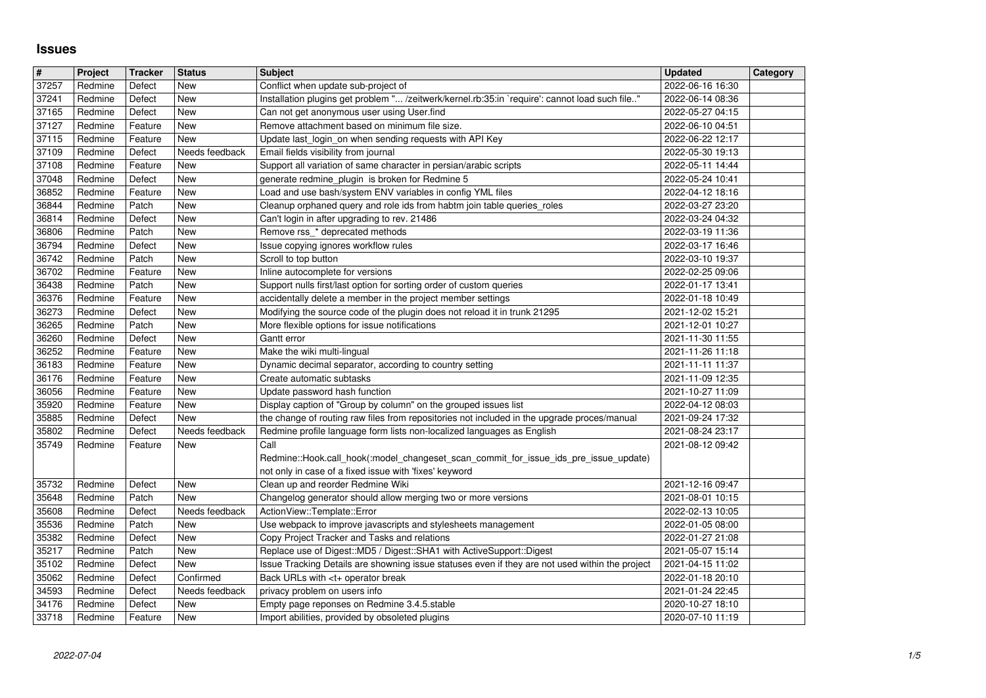## **Issues**

| $\overline{\mathbf{H}}$ | Project            | <b>Tracker</b>     | <b>Status</b>         | <b>Subject</b>                                                                                                                                                             | <b>Updated</b>                       | <b>Category</b> |
|-------------------------|--------------------|--------------------|-----------------------|----------------------------------------------------------------------------------------------------------------------------------------------------------------------------|--------------------------------------|-----------------|
| 37257<br>37241          | Redmine<br>Redmine | Defect<br>Defect   | New<br>New            | Conflict when update sub-project of<br>Installation plugins get problem " /zeitwerk/kernel.rb:35:in `require': cannot load such file"                                      | 2022-06-16 16:30<br>2022-06-14 08:36 |                 |
| 37165                   | Redmine            | Defect             | <b>New</b>            | Can not get anonymous user using User.find                                                                                                                                 | 2022-05-27 04:15                     |                 |
| 37127                   | Redmine            | Feature            | New                   | Remove attachment based on minimum file size.                                                                                                                              | 2022-06-10 04:51                     |                 |
| 37115<br>37109          | Redmine<br>Redmine | Feature<br>Defect  | New<br>Needs feedback | Update last_login_on when sending requests with API Key<br>Email fields visibility from journal                                                                            | 2022-06-22 12:17<br>2022-05-30 19:13 |                 |
| 37108                   | Redmine            | Feature            | New                   | Support all variation of same character in persian/arabic scripts                                                                                                          | 2022-05-11 14:44                     |                 |
| 37048                   | Redmine            | Defect             | New                   | generate redmine_plugin is broken for Redmine 5                                                                                                                            | 2022-05-24 10:41                     |                 |
| 36852<br>36844          | Redmine<br>Redmine | Feature<br>Patch   | New<br>New            | Load and use bash/system ENV variables in config YML files<br>Cleanup orphaned query and role ids from habtm join table queries_roles                                      | 2022-04-12 18:16<br>2022-03-27 23:20 |                 |
| 36814                   | Redmine            | Defect             | New                   | Can't login in after upgrading to rev. 21486                                                                                                                               | 2022-03-24 04:32                     |                 |
| 36806                   | Redmine            | Patch              | New                   | Remove rss_* deprecated methods                                                                                                                                            | 2022-03-19 11:36                     |                 |
| 36794                   | Redmine            | Defect             | New                   | Issue copying ignores workflow rules                                                                                                                                       | 2022-03-17 16:46                     |                 |
| 36742<br>36702          | Redmine<br>Redmine | Patch<br>Feature   | New<br>New            | Scroll to top button<br>Inline autocomplete for versions                                                                                                                   | 2022-03-10 19:37<br>2022-02-25 09:06 |                 |
| 36438                   | Redmine            | Patch              | New                   | Support nulls first/last option for sorting order of custom queries                                                                                                        | 2022-01-17 13:41                     |                 |
| 36376                   | Redmine            | Feature            | New                   | accidentally delete a member in the project member settings                                                                                                                | 2022-01-18 10:49                     |                 |
| 36273<br>36265          | Redmine<br>Redmine | Defect<br>Patch    | New<br>New            | Modifying the source code of the plugin does not reload it in trunk 21295<br>More flexible options for issue notifications                                                 | 2021-12-02 15:21<br>2021-12-01 10:27 |                 |
| 36260                   | Redmine            | Defect             | New                   | Gantt error                                                                                                                                                                | 2021-11-30 11:55                     |                 |
| 36252                   | Redmine            | Feature            | New                   | Make the wiki multi-lingual                                                                                                                                                | 2021-11-26 11:18                     |                 |
| 36183<br>36176          | Redmine<br>Redmine | Feature<br>Feature | <b>New</b><br>New     | Dynamic decimal separator, according to country setting<br>Create automatic subtasks                                                                                       | 2021-11-11 11:37<br>2021-11-09 12:35 |                 |
| 36056                   | Redmine            | Feature            | New                   | Update password hash function                                                                                                                                              | 2021-10-27 11:09                     |                 |
| 35920                   | Redmine            | Feature            | New                   | Display caption of "Group by column" on the grouped issues list                                                                                                            | 2022-04-12 08:03                     |                 |
| 35885<br>35802          | Redmine            | Defect             | New                   | the change of routing raw files from repositories not included in the upgrade proces/manual                                                                                | 2021-09-24 17:32                     |                 |
| 35749                   | Redmine<br>Redmine | Defect<br>Feature  | Needs feedback<br>New | Redmine profile language form lists non-localized languages as English<br>Call                                                                                             | 2021-08-24 23:17<br>2021-08-12 09:42 |                 |
|                         |                    |                    |                       | Redmine::Hook.call_hook(:model_changeset_scan_commit_for_issue_ids_pre_issue_update)                                                                                       |                                      |                 |
|                         |                    |                    |                       | not only in case of a fixed issue with 'fixes' keyword                                                                                                                     |                                      |                 |
| 35732<br>35648          | Redmine<br>Redmine | Defect<br>Patch    | New<br>New            | Clean up and reorder Redmine Wiki<br>Changelog generator should allow merging two or more versions                                                                         | 2021-12-16 09:47<br>2021-08-01 10:15 |                 |
| 35608                   | Redmine            | Defect             | Needs feedback        | ActionView::Template::Error                                                                                                                                                | 2022-02-13 10:05                     |                 |
| 35536                   | Redmine            | Patch              | New                   | Use webpack to improve javascripts and stylesheets management                                                                                                              | 2022-01-05 08:00                     |                 |
| 35382                   | Redmine            | Defect             | New                   | Copy Project Tracker and Tasks and relations                                                                                                                               | 2022-01-27 21:08                     |                 |
| 35217<br>35102          | Redmine<br>Redmine | Patch<br>Defect    | New<br>New            | Replace use of Digest:: MD5 / Digest:: SHA1 with ActiveSupport:: Digest<br>Issue Tracking Details are showning issue statuses even if they are not used within the project | 2021-05-07 15:14<br>2021-04-15 11:02 |                 |
| 35062                   | Redmine            | Defect             | Confirmed             | Back URLs with <t+ break<="" operator="" td=""><td>2022-01-18 20:10</td><td></td></t+>                                                                                     | 2022-01-18 20:10                     |                 |
| 34593                   | Redmine            | Defect             | Needs feedback        | privacy problem on users info                                                                                                                                              | 2021-01-24 22:45                     |                 |
| 34176<br>33718          | Redmine<br>Redmine | Defect<br>Feature  | New<br>New            | Empty page reponses on Redmine 3.4.5.stable<br>Import abilities, provided by obsoleted plugins                                                                             | 2020-10-27 18:10<br>2020-07-10 11:19 |                 |
|                         |                    |                    |                       |                                                                                                                                                                            |                                      |                 |
|                         |                    |                    |                       |                                                                                                                                                                            |                                      |                 |
|                         |                    |                    |                       |                                                                                                                                                                            |                                      |                 |
|                         |                    |                    |                       |                                                                                                                                                                            |                                      |                 |
|                         |                    |                    |                       |                                                                                                                                                                            |                                      |                 |
|                         |                    |                    |                       |                                                                                                                                                                            |                                      |                 |
|                         |                    |                    |                       |                                                                                                                                                                            |                                      |                 |
|                         |                    |                    |                       |                                                                                                                                                                            |                                      |                 |
|                         |                    |                    |                       |                                                                                                                                                                            |                                      |                 |
|                         |                    |                    |                       |                                                                                                                                                                            |                                      |                 |
|                         |                    |                    |                       |                                                                                                                                                                            |                                      |                 |
|                         |                    |                    |                       |                                                                                                                                                                            |                                      |                 |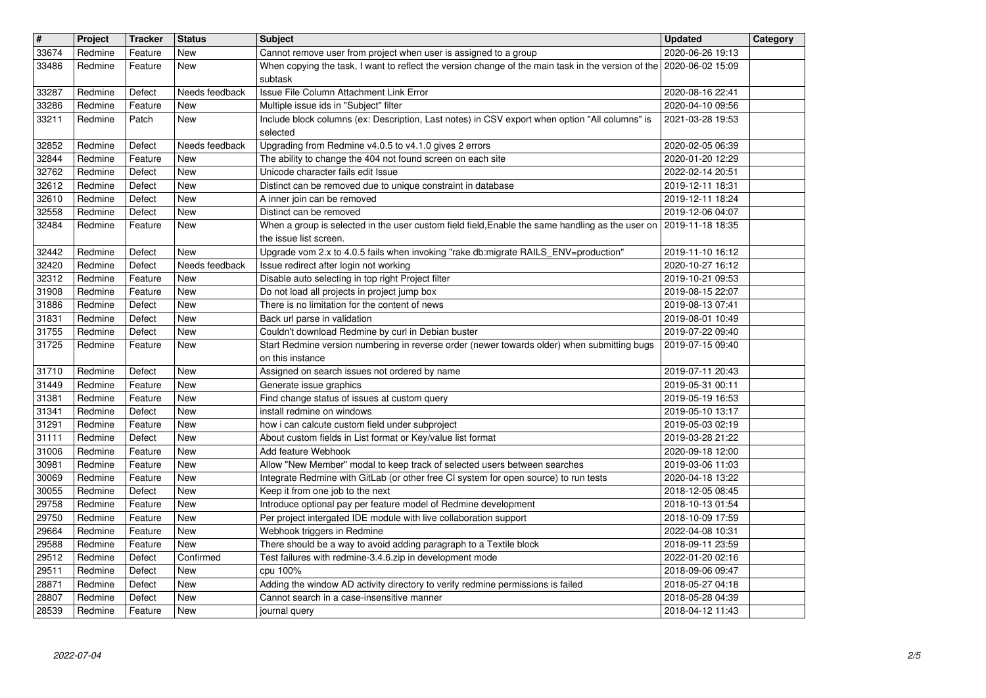| $\overline{\mathbf{H}}$ | Project            | <b>Tracker</b>     | <b>Status</b>            | <b>Subject</b>                                                                                                                                                                          | <b>Updated</b>                       | Category |
|-------------------------|--------------------|--------------------|--------------------------|-----------------------------------------------------------------------------------------------------------------------------------------------------------------------------------------|--------------------------------------|----------|
| 33674<br>33486          | Redmine<br>Redmine | Feature<br>Feature | New<br>New               | Cannot remove user from project when user is assigned to a group<br>When copying the task, I want to reflect the version change of the main task in the version of the 2020-06-02 15:09 | 2020-06-26 19:13                     |          |
|                         |                    |                    |                          | subtask                                                                                                                                                                                 |                                      |          |
| 33287                   | Redmine            | Defect             | Needs feedback           | <b>Issue File Column Attachment Link Error</b>                                                                                                                                          | 2020-08-16 22:41                     |          |
| 33286<br>33211          | Redmine<br>Redmine | Feature<br>Patch   | New<br>New               | Multiple issue ids in "Subject" filter<br>Include block columns (ex: Description, Last notes) in CSV export when option "All columns" is<br>selected                                    | 2020-04-10 09:56<br>2021-03-28 19:53 |          |
| 32852                   | Redmine            | Defect             | Needs feedback           | Upgrading from Redmine v4.0.5 to v4.1.0 gives 2 errors                                                                                                                                  | 2020-02-05 06:39                     |          |
| 32844<br>32762          | Redmine<br>Redmine | Feature<br>Defect  | New<br>New               | The ability to change the 404 not found screen on each site<br>Unicode character fails edit Issue                                                                                       | 2020-01-20 12:29<br>2022-02-14 20:51 |          |
| 32612                   | Redmine            | Defect             | New                      | Distinct can be removed due to unique constraint in database                                                                                                                            | 2019-12-11 18:31                     |          |
| 32610<br>32558          | Redmine<br>Redmine | Defect<br>Defect   | New<br>New               | A inner join can be removed<br>Distinct can be removed                                                                                                                                  | 2019-12-11 18:24<br>2019-12-06 04:07 |          |
| 32484                   | Redmine            | Feature            | New                      | When a group is selected in the user custom field field, Enable the same handling as the user on                                                                                        | 2019-11-18 18:35                     |          |
| 32442                   | Redmine            | Defect             | New                      | the issue list screen.<br>Upgrade vom 2.x to 4.0.5 fails when invoking "rake db:migrate RAILS_ENV=production"                                                                           | 2019-11-10 16:12                     |          |
| 32420<br>32312          | Redmine<br>Redmine | Defect<br>Feature  | Needs feedback<br>New    | Issue redirect after login not working<br>Disable auto selecting in top right Project filter                                                                                            | 2020-10-27 16:12<br>2019-10-21 09:53 |          |
| 31908                   | Redmine            | Feature            | New                      | Do not load all projects in project jump box                                                                                                                                            | 2019-08-15 22:07                     |          |
| 31886                   | Redmine            | Defect             | New                      | There is no limitation for the content of news                                                                                                                                          | 2019-08-13 07:41                     |          |
| 31831<br>31755          | Redmine<br>Redmine | Defect<br>Defect   | New<br><b>New</b>        | Back url parse in validation<br>Couldn't download Redmine by curl in Debian buster                                                                                                      | 2019-08-01 10:49<br>2019-07-22 09:40 |          |
| 31725                   | Redmine            | Feature            | New                      | Start Redmine version numbering in reverse order (newer towards older) when submitting bugs<br>on this instance                                                                         | 2019-07-15 09:40                     |          |
| 31710                   | Redmine            | Defect             | New                      | Assigned on search issues not ordered by name                                                                                                                                           | 2019-07-11 20:43                     |          |
| 31449<br>31381          | Redmine<br>Redmine | Feature<br>Feature | New<br>New               | Generate issue graphics<br>Find change status of issues at custom query                                                                                                                 | 2019-05-31 00:11<br>2019-05-19 16:53 |          |
| 31341                   | Redmine            | Defect             | New                      | install redmine on windows                                                                                                                                                              | 2019-05-10 13:17                     |          |
| 31291<br>31111          | Redmine<br>Redmine | Feature<br>Defect  | New<br>New               | how i can calcute custom field under subproject<br>About custom fields in List format or Key/value list format                                                                          | 2019-05-03 02:19<br>2019-03-28 21:22 |          |
| 31006                   | Redmine            | Feature            | New                      | Add feature Webhook                                                                                                                                                                     | 2020-09-18 12:00                     |          |
| 30981<br>30069          | Redmine<br>Redmine | Feature<br>Feature | <b>New</b><br><b>New</b> | Allow "New Member" modal to keep track of selected users between searches<br>Integrate Redmine with GitLab (or other free CI system for open source) to run tests                       | 2019-03-06 11:03                     |          |
| 30055                   | Redmine            | Defect             | New                      | Keep it from one job to the next                                                                                                                                                        | 2020-04-18 13:22<br>2018-12-05 08:45 |          |
| 29758                   | Redmine            | Feature            | New                      | Introduce optional pay per feature model of Redmine development                                                                                                                         | 2018-10-13 01:54                     |          |
| 29750<br>29664          | Redmine<br>Redmine | Feature<br>Feature | New<br>New               | Per project intergated IDE module with live collaboration support<br>Webhook triggers in Redmine                                                                                        | 2018-10-09 17:59<br>2022-04-08 10:31 |          |
| 29588                   | Redmine            | Feature            | <b>New</b>               | There should be a way to avoid adding paragraph to a Textile block                                                                                                                      | 2018-09-11 23:59                     |          |
| $\sqrt{29512}$<br>29511 | Redmine<br>Redmine | Defect<br>Defect   | Confirmed<br>New         | Test failures with redmine-3.4.6.zip in development mode<br>cpu 100%                                                                                                                    | 2022-01-20 02:16<br>2018-09-06 09:47 |          |
| 28871                   | Redmine            | Defect             | New                      | Adding the window AD activity directory to verify redmine permissions is failed                                                                                                         | 2018-05-27 04:18                     |          |
| 28807<br>28539          | Redmine<br>Redmine | Defect<br>Feature  | New<br>New               | Cannot search in a case-insensitive manner<br>journal query                                                                                                                             | 2018-05-28 04:39<br>2018-04-12 11:43 |          |
|                         |                    |                    |                          |                                                                                                                                                                                         |                                      |          |
|                         |                    |                    |                          |                                                                                                                                                                                         |                                      |          |
|                         |                    |                    |                          |                                                                                                                                                                                         |                                      |          |
|                         |                    |                    |                          |                                                                                                                                                                                         |                                      |          |
|                         |                    |                    |                          |                                                                                                                                                                                         |                                      |          |
|                         |                    |                    |                          |                                                                                                                                                                                         |                                      |          |
|                         |                    |                    |                          |                                                                                                                                                                                         |                                      |          |
|                         |                    |                    |                          |                                                                                                                                                                                         |                                      |          |
|                         |                    |                    |                          |                                                                                                                                                                                         |                                      |          |
|                         |                    |                    |                          |                                                                                                                                                                                         |                                      |          |
|                         |                    |                    |                          |                                                                                                                                                                                         |                                      |          |
|                         |                    |                    |                          |                                                                                                                                                                                         |                                      |          |
|                         |                    |                    |                          |                                                                                                                                                                                         |                                      |          |
|                         |                    |                    |                          |                                                                                                                                                                                         |                                      |          |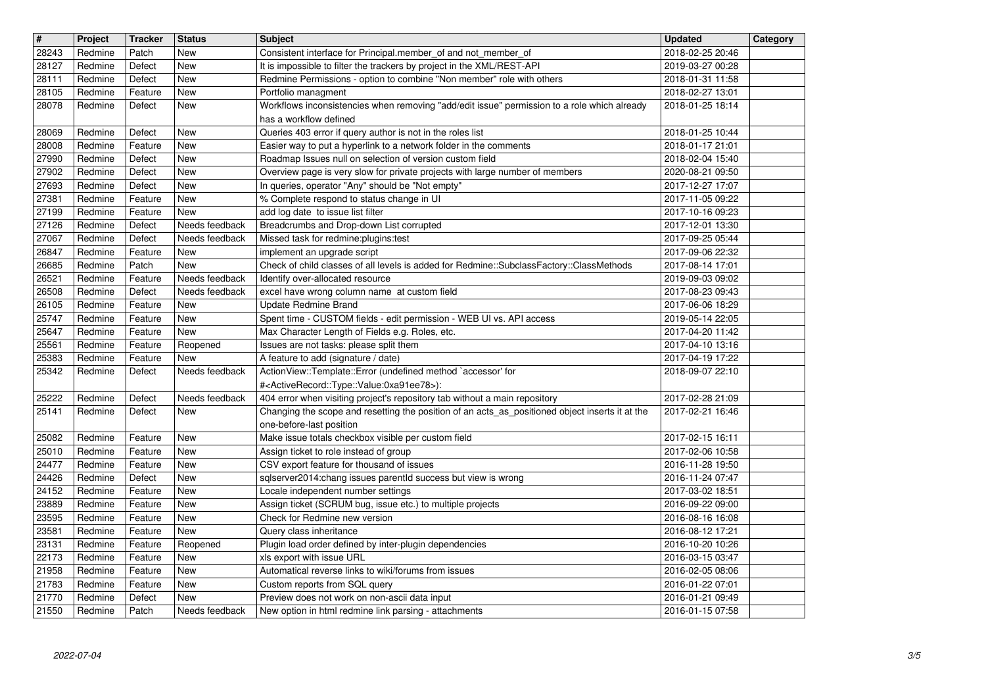| $\overline{\mathbf{H}}$ | Project            | <b>Tracker</b>     | <b>Status</b>            | <b>Subject</b>                                                                                                                                                                | <b>Updated</b>                       | Category |
|-------------------------|--------------------|--------------------|--------------------------|-------------------------------------------------------------------------------------------------------------------------------------------------------------------------------|--------------------------------------|----------|
| 28243                   | Redmine            | Patch              | New                      | Consistent interface for Principal.member_of and not_member_of                                                                                                                | 2018-02-25 20:46                     |          |
| 28127<br>28111          | Redmine<br>Redmine | Defect<br>Defect   | <b>New</b><br><b>New</b> | It is impossible to filter the trackers by project in the XML/REST-API<br>Redmine Permissions - option to combine "Non member" role with others                               | 2019-03-27 00:28<br>2018-01-31 11:58 |          |
| 28105                   | Redmine            | Feature            | <b>New</b>               | Portfolio managment                                                                                                                                                           | 2018-02-27 13:01                     |          |
| 28078                   | Redmine            | Defect             | New                      | Workflows inconsistencies when removing "add/edit issue" permission to a role which already                                                                                   | 2018-01-25 18:14                     |          |
|                         |                    |                    |                          | has a workflow defined                                                                                                                                                        |                                      |          |
| 28069<br>28008          | Redmine<br>Redmine | Defect<br>Feature  | <b>New</b><br><b>New</b> | Queries 403 error if query author is not in the roles list<br>Easier way to put a hyperlink to a network folder in the comments                                               | 2018-01-25 10:44<br>2018-01-17 21:01 |          |
| 27990                   | Redmine            | Defect             | New                      | Roadmap Issues null on selection of version custom field                                                                                                                      | 2018-02-04 15:40                     |          |
| 27902                   | Redmine            | Defect             | <b>New</b>               | Overview page is very slow for private projects with large number of members                                                                                                  | 2020-08-21 09:50                     |          |
| 27693                   | Redmine            | Defect             | <b>New</b>               | In queries, operator "Any" should be "Not empty"                                                                                                                              | 2017-12-27 17:07                     |          |
| 27381<br>27199          | Redmine<br>Redmine | Feature<br>Feature | <b>New</b><br><b>New</b> | % Complete respond to status change in UI<br>add log date to issue list filter                                                                                                | 2017-11-05 09:22<br>2017-10-16 09:23 |          |
| 27126                   | Redmine            | Defect             | Needs feedback           | Breadcrumbs and Drop-down List corrupted                                                                                                                                      | 2017-12-01 13:30                     |          |
| 27067                   | Redmine            | Defect             | Needs feedback           | Missed task for redmine:plugins:test                                                                                                                                          | 2017-09-25 05:44                     |          |
| 26847                   | Redmine            | Feature            | New                      | implement an upgrade script                                                                                                                                                   | 2017-09-06 22:32                     |          |
| 26685<br>26521          | Redmine<br>Redmine | Patch<br>Feature   | New<br>Needs feedback    | Check of child classes of all levels is added for Redmine::SubclassFactory::ClassMethods<br>Identify over-allocated resource                                                  | 2017-08-14 17:01<br>2019-09-03 09:02 |          |
| 26508                   | Redmine            | Defect             | Needs feedback           | excel have wrong column name at custom field                                                                                                                                  | 2017-08-23 09:43                     |          |
| 26105                   | Redmine            | Feature            | New                      | Update Redmine Brand                                                                                                                                                          | 2017-06-06 18:29                     |          |
| 25747                   | Redmine            | Feature            | <b>New</b>               | Spent time - CUSTOM fields - edit permission - WEB UI vs. API access                                                                                                          | 2019-05-14 22:05                     |          |
| 25647<br>25561          | Redmine<br>Redmine | Feature<br>Feature | <b>New</b><br>Reopened   | Max Character Length of Fields e.g. Roles, etc.<br>Issues are not tasks: please split them                                                                                    | 2017-04-20 11:42<br>2017-04-10 13:16 |          |
| 25383                   | Redmine            | Feature            | New                      | A feature to add (signature / date)                                                                                                                                           | 2017-04-19 17:22                     |          |
| 25342                   | Redmine            | Defect             | Needs feedback           | ActionView::Template::Error (undefined method `accessor' for                                                                                                                  | 2018-09-07 22:10                     |          |
|                         |                    |                    | Needs feedback           | # <activerecord::type::value:0xa91ee78>):</activerecord::type::value:0xa91ee78>                                                                                               |                                      |          |
| 25222<br>25141          | Redmine<br>Redmine | Defect<br>Defect   | New                      | 404 error when visiting project's repository tab without a main repository<br>Changing the scope and resetting the position of an acts_as_positioned object inserts it at the | 2017-02-28 21:09<br>2017-02-21 16:46 |          |
|                         |                    |                    |                          | one-before-last position                                                                                                                                                      |                                      |          |
| 25082                   | Redmine            | Feature            | <b>New</b>               | Make issue totals checkbox visible per custom field                                                                                                                           | 2017-02-15 16:11                     |          |
| 25010                   | Redmine            | Feature            | <b>New</b>               | Assign ticket to role instead of group                                                                                                                                        | 2017-02-06 10:58                     |          |
| 24477<br>24426          | Redmine<br>Redmine | Feature<br>Defect  | New<br><b>New</b>        | CSV export feature for thousand of issues<br>sqlserver2014:chang issues parentld success but view is wrong                                                                    | 2016-11-28 19:50<br>2016-11-24 07:47 |          |
| 24152                   | Redmine            | Feature            | <b>New</b>               | Locale independent number settings                                                                                                                                            | 2017-03-02 18:51                     |          |
| 23889                   | Redmine            | Feature            | <b>New</b>               | Assign ticket (SCRUM bug, issue etc.) to multiple projects                                                                                                                    | 2016-09-22 09:00                     |          |
| 23595                   | Redmine            | Feature            | <b>New</b>               | Check for Redmine new version                                                                                                                                                 | 2016-08-16 16:08                     |          |
| 23581<br>23131          | Redmine<br>Redmine | Feature<br>Feature | New<br>Reopened          | Query class inheritance<br>Plugin load order defined by inter-plugin dependencies                                                                                             | 2016-08-12 17:21<br>2016-10-20 10:26 |          |
| 22173                   | Redmine            | Feature            | New                      | xls export with issue URL                                                                                                                                                     | 2016-03-15 03:47                     |          |
| 21958                   | Redmine            | Feature            | New                      | Automatical reverse links to wiki/forums from issues                                                                                                                          | 2016-02-05 08:06                     |          |
| $\sqrt{21783}$<br>21770 | Redmine<br>Redmine | Feature            | New<br>New               | Custom reports from SQL query<br>Preview does not work on non-ascii data input                                                                                                | 2016-01-22 07:01<br>2016-01-21 09:49 |          |
| 21550                   | Redmine            | Defect<br>Patch    | Needs feedback           | New option in html redmine link parsing - attachments                                                                                                                         | 2016-01-15 07:58                     |          |
|                         |                    |                    |                          |                                                                                                                                                                               |                                      |          |
|                         |                    |                    |                          |                                                                                                                                                                               |                                      |          |
|                         |                    |                    |                          |                                                                                                                                                                               |                                      |          |
|                         |                    |                    |                          |                                                                                                                                                                               |                                      |          |
|                         |                    |                    |                          |                                                                                                                                                                               |                                      |          |
|                         |                    |                    |                          |                                                                                                                                                                               |                                      |          |
|                         |                    |                    |                          |                                                                                                                                                                               |                                      |          |
|                         |                    |                    |                          |                                                                                                                                                                               |                                      |          |
|                         |                    |                    |                          |                                                                                                                                                                               |                                      |          |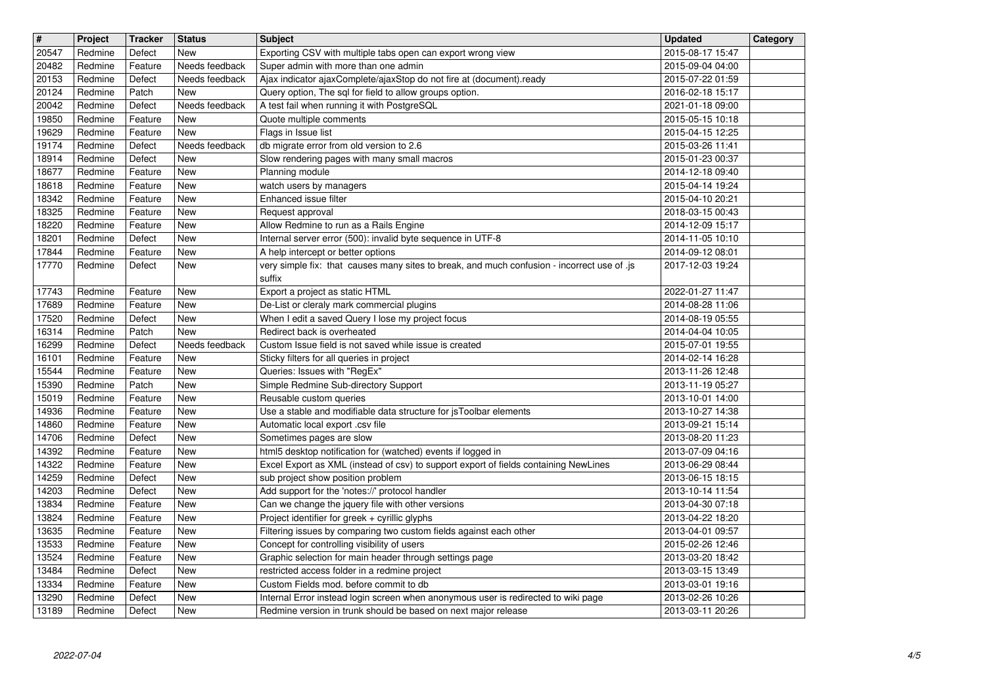| $\overline{\mathbf{H}}$ | Project            | <b>Tracker</b>     | <b>Status</b>                | <b>Subject</b>                                                                                                                    | <b>Updated</b>                       | Category |
|-------------------------|--------------------|--------------------|------------------------------|-----------------------------------------------------------------------------------------------------------------------------------|--------------------------------------|----------|
| 20547<br>20482          | Redmine<br>Redmine | Defect<br>Feature  | <b>New</b><br>Needs feedback | Exporting CSV with multiple tabs open can export wrong view<br>Super admin with more than one admin                               | 2015-08-17 15:47<br>2015-09-04 04:00 |          |
| 20153                   | Redmine            | Defect             | Needs feedback               | Ajax indicator ajaxComplete/ajaxStop do not fire at (document).ready                                                              | 2015-07-22 01:59                     |          |
| 20124                   | Redmine            | Patch              | <b>New</b>                   | Query option, The sql for field to allow groups option.                                                                           | 2016-02-18 15:17                     |          |
| 20042<br>19850          | Redmine<br>Redmine | Defect<br>Feature  | Needs feedback<br><b>New</b> | A test fail when running it with PostgreSQL<br>Quote multiple comments                                                            | 2021-01-18 09:00<br>2015-05-15 10:18 |          |
| 19629                   | Redmine            | Feature            | <b>New</b>                   | Flags in Issue list                                                                                                               | 2015-04-15 12:25                     |          |
| 19174                   | Redmine            | Defect             | Needs feedback               | db migrate error from old version to 2.6<br>Slow rendering pages with many small macros                                           | 2015-03-26 11:41<br>2015-01-23 00:37 |          |
| 18914<br>18677          | Redmine<br>Redmine | Defect<br>Feature  | <b>New</b><br><b>New</b>     | Planning module                                                                                                                   | 2014-12-18 09:40                     |          |
| 18618                   | Redmine            | Feature            | <b>New</b>                   | watch users by managers                                                                                                           | 2015-04-14 19:24                     |          |
| 18342<br>18325          | Redmine<br>Redmine | Feature<br>Feature | <b>New</b>                   | Enhanced issue filter                                                                                                             | 2015-04-10 20:21<br>2018-03-15 00:43 |          |
| 18220                   | Redmine            | Feature            | New<br><b>New</b>            | Request approval<br>Allow Redmine to run as a Rails Engine                                                                        | 2014-12-09 15:17                     |          |
| 18201                   | Redmine            | Defect             | <b>New</b>                   | Internal server error (500): invalid byte sequence in UTF-8                                                                       | 2014-11-05 10:10                     |          |
| 17844<br>17770          | Redmine<br>Redmine | Feature<br>Defect  | <b>New</b><br>New            | A help intercept or better options<br>very simple fix: that causes many sites to break, and much confusion - incorrect use of .js | 2014-09-12 08:01<br>2017-12-03 19:24 |          |
|                         |                    |                    |                              | suffix                                                                                                                            |                                      |          |
| 17743                   | Redmine            | Feature            | <b>New</b>                   | Export a project as static HTML                                                                                                   | 2022-01-27 11:47                     |          |
| 17689<br>17520          | Redmine<br>Redmine | Feature<br>Defect  | <b>New</b><br><b>New</b>     | De-List or cleraly mark commercial plugins<br>When I edit a saved Query I lose my project focus                                   | 2014-08-28 11:06<br>2014-08-19 05:55 |          |
| 16314                   | Redmine            | Patch              | <b>New</b>                   | Redirect back is overheated                                                                                                       | 2014-04-04 10:05                     |          |
| 16299                   | Redmine            | Defect             | Needs feedback               | Custom Issue field is not saved while issue is created                                                                            | 2015-07-01 19:55                     |          |
| 16101<br>15544          | Redmine<br>Redmine | Feature<br>Feature | <b>New</b><br><b>New</b>     | Sticky filters for all queries in project<br>Queries: Issues with "RegEx"                                                         | 2014-02-14 16:28<br>2013-11-26 12:48 |          |
| 15390                   | Redmine            | Patch              | <b>New</b>                   | Simple Redmine Sub-directory Support                                                                                              | 2013-11-19 05:27                     |          |
| 15019                   | Redmine            | Feature            | New                          | Reusable custom queries                                                                                                           | 2013-10-01 14:00                     |          |
| 14936<br>14860          | Redmine<br>Redmine | Feature<br>Feature | <b>New</b><br><b>New</b>     | Use a stable and modifiable data structure for jsToolbar elements<br>Automatic local export .csv file                             | 2013-10-27 14:38<br>2013-09-21 15:14 |          |
| 14706                   | Redmine            | Defect             | <b>New</b>                   | Sometimes pages are slow                                                                                                          | 2013-08-20 11:23                     |          |
| 14392                   | Redmine            | Feature            | <b>New</b>                   | html5 desktop notification for (watched) events if logged in                                                                      | 2013-07-09 04:16                     |          |
| 14322<br>14259          | Redmine<br>Redmine | Feature<br>Defect  | <b>New</b><br><b>New</b>     | Excel Export as XML (instead of csv) to support export of fields containing NewLines<br>sub project show position problem         | 2013-06-29 08:44<br>2013-06-15 18:15 |          |
| 14203                   | Redmine            | Defect             | <b>New</b>                   | Add support for the 'notes://' protocol handler                                                                                   | 2013-10-14 11:54                     |          |
| 13834                   | Redmine            | Feature            | <b>New</b>                   | Can we change the jquery file with other versions                                                                                 | 2013-04-30 07:18                     |          |
| 13824<br>13635          | Redmine<br>Redmine | Feature<br>Feature | New<br><b>New</b>            | Project identifier for greek + cyrillic glyphs<br>Filtering issues by comparing two custom fields against each other              | 2013-04-22 18:20<br>2013-04-01 09:57 |          |
| 13533                   | Redmine            | Feature            | <b>New</b>                   | Concept for controlling visibility of users                                                                                       | 2015-02-26 12:46                     |          |
| 13524                   | Redmine            | Feature            | New                          | Graphic selection for main header through settings page                                                                           | 2013-03-20 18:42                     |          |
| 13484<br>13334          | Redmine<br>Redmine | Defect<br>Feature  | New<br>New                   | restricted access folder in a redmine project<br>Custom Fields mod. before commit to db                                           | 2013-03-15 13:49<br>2013-03-01 19:16 |          |
| 13290                   | Redmine            | Defect             | New                          | Internal Error instead login screen when anonymous user is redirected to wiki page                                                | 2013-02-26 10:26                     |          |
| 13189                   | Redmine            | Defect             | New                          | Redmine version in trunk should be based on next major release                                                                    | 2013-03-11 20:26                     |          |
|                         |                    |                    |                              |                                                                                                                                   |                                      |          |
|                         |                    |                    |                              |                                                                                                                                   |                                      |          |
|                         |                    |                    |                              |                                                                                                                                   |                                      |          |
|                         |                    |                    |                              |                                                                                                                                   |                                      |          |
|                         |                    |                    |                              |                                                                                                                                   |                                      |          |
|                         |                    |                    |                              |                                                                                                                                   |                                      |          |
|                         |                    |                    |                              |                                                                                                                                   |                                      |          |
|                         |                    |                    |                              |                                                                                                                                   |                                      |          |
|                         |                    |                    |                              |                                                                                                                                   |                                      |          |
|                         |                    |                    |                              |                                                                                                                                   |                                      |          |
|                         |                    |                    |                              |                                                                                                                                   |                                      |          |
|                         |                    |                    |                              |                                                                                                                                   |                                      |          |
|                         |                    |                    |                              |                                                                                                                                   |                                      |          |
|                         |                    |                    |                              |                                                                                                                                   |                                      |          |
|                         |                    |                    |                              |                                                                                                                                   |                                      |          |